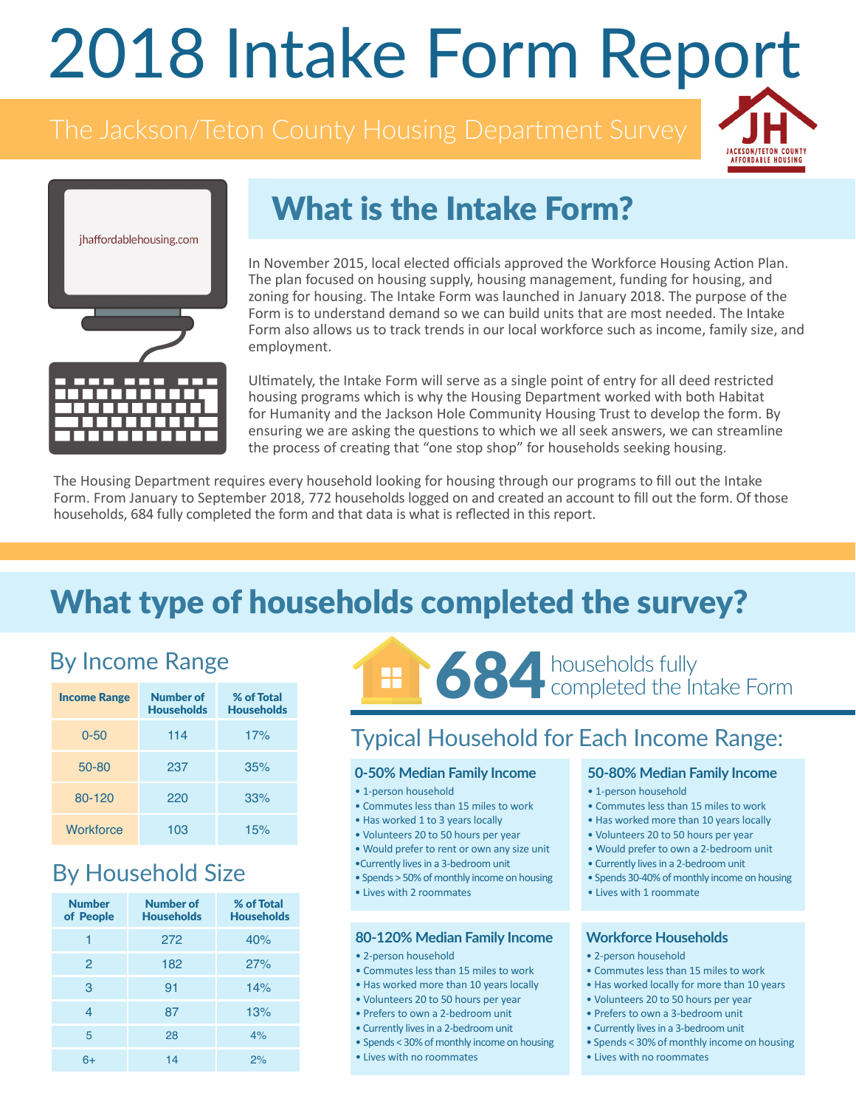# 2018 Intake Form Report





# What is the Intake Form?

In November 2015, local elected officials approved the Workforce Housing Action Plan. The plan focused on housing supply, housing management, funding for housing, and zoning for housing. The Intake Form was launched in January 2018. The purpose of the Form is to understand demand so we can build units that are most needed. The Intake Form also allows us to track trends in our local workforce such as income, family size, and employment.

Ultimately, the Intake Form will serve as a single point of entry for all deed restricted housing programs which is why the Housing Department worked with both Habitat for Humanity and the Jackson Hole Community Housing Trust to develop the form. By ensuring we are asking the questions to which we all seek answers, we can streamline the process of creating that "one stop shop" for households seeking housing.

The Housing Department requires every household looking for housing through our programs to fill out the Intake Form. From January to September 2018, 772 households logged on and created an account to fill out the form. Of those households, 684 fully completed the form and that data is what is reflected in this report.

## What type of households completed the survey?

## By Income Range

| <b>Income Range</b> | Number of<br><b>Households</b> | % of Total<br><b>Households</b> |
|---------------------|--------------------------------|---------------------------------|
| $0 - 50$            | 114                            | 17%                             |
| 50-80               | 237                            | 35%                             |
| $80 - 120$          | 220                            | 33%                             |
| Workforce           | 103                            | 15%                             |

## By Household Size

| <b>Number</b><br>of People | Number of<br><b>Households</b> | % of Total<br><b>Households</b> |
|----------------------------|--------------------------------|---------------------------------|
| 1                          | 272                            | 40%                             |
| $\mathcal{P}$              | 182                            | 27%                             |
| 3                          | 91                             | 14%                             |
| $\overline{4}$             | 87                             | 13%                             |
| 5                          | 28                             | 4%                              |
| 6+                         | 14                             | 2%                              |



### Typical Household for Each Income Range:

#### **0-50% Median Family Income**

- 1-person household
- Commutes less than 15 miles to work
- Has worked 1 to 3 years locally
- Volunteers 20 to 50 hours per year
- Would prefer to rent or own any size unit
- •Currently lives in a 3-bedroom unit
- Spends > 50% of monthly income on housing
- Lives with 2 roommates

#### **80-120% Median Family Income**

- 2-person household
- Commutes less than 15 miles to work
- Has worked more than 10 years locally
- Volunteers 20 to 50 hours per year
- Prefers to own a 2-bedroom unit
- Currently lives in a 2-bedroom unit
- Spends < 30% of monthly income on housing
- Lives with no roommates

#### **50-80% Median Family Income**

- 1-person household
- Commutes less than 15 miles to work
- Has worked more than 10 years locally
- Volunteers 20 to 50 hours per year
- Would prefer to own a 2-bedroom unit
- Currently lives in a 2-bedroom unit
- Spends 30-40% of monthly income on housing
- Lives with 1 roommate

#### **Workforce Households**

- 2-person household
- Commutes less than 15 miles to work
- Has worked locally for more than 10 years
- Volunteers 20 to 50 hours per year
- Prefers to own a 3-bedroom unit
- Currently lives in a 3-bedroom unit
- Spends < 30% of monthly income on housing
- Lives with no roommates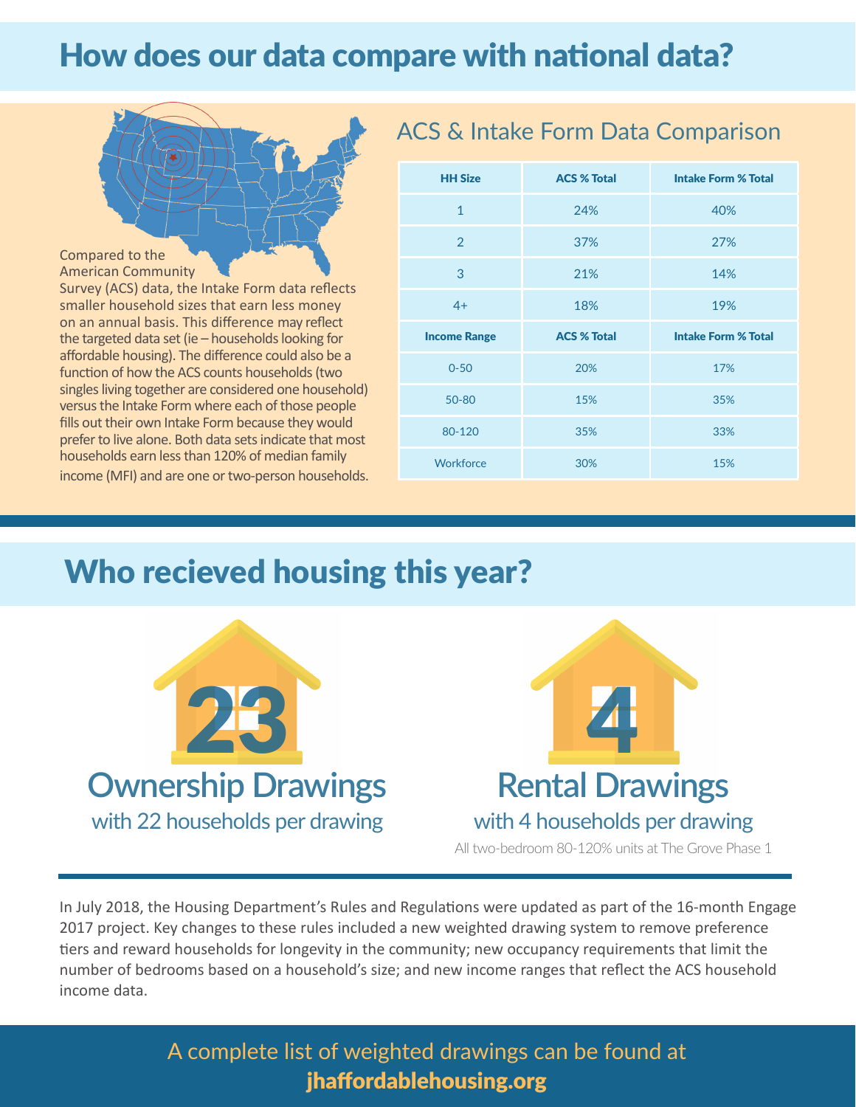# How does our data compare with national data?



#### American Community

Survey (ACS) data, the Intake Form data reflects smaller household sizes that earn less money on an annual basis. This difference may reflect the targeted data set (ie – households looking for affordable housing). The difference could also be a function of how the ACS counts households (two singles living together are considered one household) versus the Intake Form where each of those people fills out their own Intake Form because they would prefer to live alone. Both data sets indicate that most households earn less than 120% of median family income (MFI) and are one or two-person households.

| <b>HH Size</b>      | <b>ACS % Total</b> | <b>Intake Form % Total</b> |
|---------------------|--------------------|----------------------------|
| $\mathbf{1}$        | 24%                | 40%                        |
| $\overline{2}$      | 37%                | 27%                        |
| 3                   | 21%                | 14%                        |
| $4+$                | 18%                | 19%                        |
|                     |                    |                            |
| <b>Income Range</b> | <b>ACS % Total</b> | <b>Intake Form % Total</b> |
| $0 - 50$            | 20%                | 17%                        |
| 50-80               | 15%                | 35%                        |
| 80-120              | 35%                | 33%                        |

ACS & Intake Form Data Comparison

## Who recieved housing this year?



In July 2018, the Housing Department's Rules and Regulations were updated as part of the 16-month Engage 2017 project. Key changes to these rules included a new weighted drawing system to remove preference tiers and reward households for longevity in the community; new occupancy requirements that limit the number of bedrooms based on a household's size; and new income ranges that reflect the ACS household income data.

### A complete list of weighted drawings can be found at jhaffordablehousing.org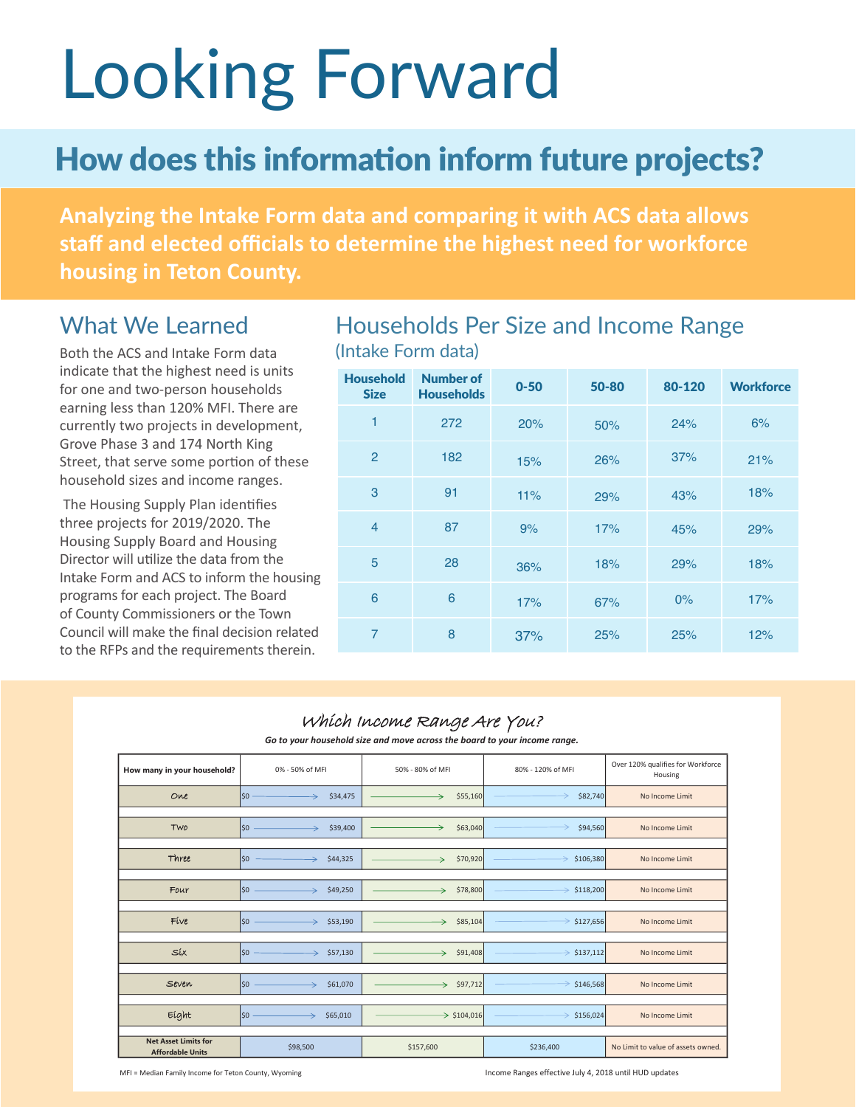# Looking Forward

## How does this information inform future projects?

**Analyzing the Intake Form data and comparing it with ACS data allows staff and elected officials to determine the highest need for workforce housing in Teton County.** 

#### What We Learned

Both the ACS and Intake Form data indicate that the highest need is units for one and two-person households earning less than 120% MFI. There are currently two projects in development, Grove Phase 3 and 174 North King Street, that serve some portion of these household sizes and income ranges.

 The Housing Supply Plan identifies three projects for 2019/2020. The Housing Supply Board and Housing Director will utilize the data from the Intake Form and ACS to inform the housing programs for each project. The Board of County Commissioners or the Town Council will make the final decision related to the RFPs and the requirements therein.

#### Households Per Size and Income Range (Intake Form data)

| <b>Household</b><br><b>Size</b> | <b>Number of</b><br><b>Households</b> | $0 - 50$ | 50-80 | 80-120 | <b>Workforce</b> |
|---------------------------------|---------------------------------------|----------|-------|--------|------------------|
| $\mathbf{1}$                    | 272                                   | 20%      | 50%   | 24%    | 6%               |
| $\overline{2}$                  | 182                                   | 15%      | 26%   | 37%    | 21%              |
| 3                               | 91                                    | 11%      | 29%   | 43%    | 18%              |
| $\overline{4}$                  | 87                                    | 9%       | 17%   | 45%    | 29%              |
| 5                               | 28                                    | 36%      | 18%   | 29%    | 18%              |
| 6                               | 6                                     | 17%      | 67%   | 0%     | 17%              |
| $\overline{7}$                  | 8                                     | 37%      | 25%   | 25%    | 12%              |

#### Which Income Range Are You?

*Go to your household size and move across the board to your income range.*

| How many in your household?                            | 0% - 50% of MFI                  | 50% - 80% of MFI        | 80% - 120% of MFI          | Over 120% qualifies for Workforce<br>Housing |
|--------------------------------------------------------|----------------------------------|-------------------------|----------------------------|----------------------------------------------|
| One                                                    | \$0<br>\$34,475<br>$\rightarrow$ | \$55,160                | \$82,740                   | No Income Limit                              |
|                                                        |                                  |                         |                            |                                              |
| Two                                                    | \$0<br>\$39,400<br>↘             | →<br>\$63,040           | →<br>\$94,560              | No Income Limit                              |
|                                                        |                                  |                         |                            |                                              |
| Three                                                  | \$0<br>\$44,325<br>→             | \$70,920<br>→           | \$106,380                  | No Income Limit                              |
|                                                        |                                  |                         |                            |                                              |
| Four                                                   | \$0<br>\$49,250<br>$\rightarrow$ | \$78,800<br>→           | \$118,200<br>$\rightarrow$ | No Income Limit                              |
|                                                        |                                  |                         |                            |                                              |
| Five                                                   | \$0<br>\$53,190<br>$\rightarrow$ | \$85,104<br>→           | $\Rightarrow$ \$127,656    | No Income Limit                              |
|                                                        |                                  |                         |                            |                                              |
| Síx                                                    | 50<br>\$57,130<br>→              | \$91,408<br>→           | $\Rightarrow$ \$137,112    | No Income Limit                              |
|                                                        |                                  |                         |                            |                                              |
| Seven                                                  | \$0<br>\$61,070                  | \$97,712<br>÷.          | $\Rightarrow$ \$146,568    | No Income Limit                              |
|                                                        |                                  |                         |                            |                                              |
| Eight                                                  | $\mathsf{S}$<br>\$65,010<br>→    | $\rightarrow$ \$104,016 | \$156,024                  | No Income Limit                              |
|                                                        |                                  |                         |                            |                                              |
| <b>Net Asset Limits for</b><br><b>Affordable Units</b> | \$98,500                         | \$157,600               | \$236,400                  | No Limit to value of assets owned.           |

MFI = Median Family Income for Teton County, Wyoming Income Ranges effective July 4, 2018 until HUD updates